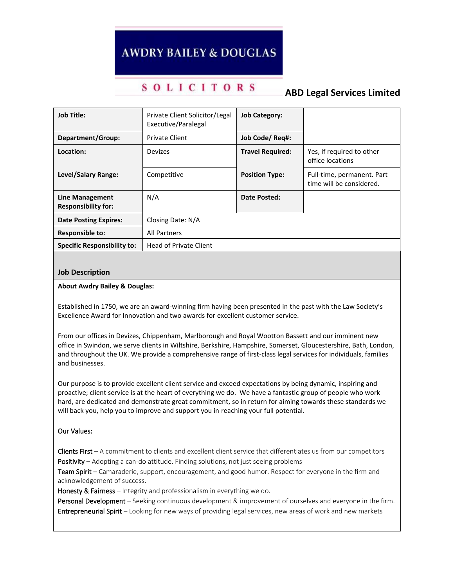# **AWDRY BAILEY & DOUGLAS**

## **SOLICITORS**

### **ABD Legal Services Limited**

| <b>Job Title:</b>                             | Private Client Solicitor/Legal<br>Executive/Paralegal | <b>Job Category:</b>    |                                                        |
|-----------------------------------------------|-------------------------------------------------------|-------------------------|--------------------------------------------------------|
| Department/Group:                             | <b>Private Client</b>                                 | Job Code/ Req#:         |                                                        |
| Location:                                     | Devizes                                               | <b>Travel Required:</b> | Yes, if required to other<br>office locations          |
| Level/Salary Range:                           | Competitive                                           | <b>Position Type:</b>   | Full-time, permanent. Part<br>time will be considered. |
| Line Management<br><b>Responsibility for:</b> | N/A                                                   | Date Posted:            |                                                        |
| <b>Date Posting Expires:</b>                  | Closing Date: N/A                                     |                         |                                                        |
| <b>Responsible to:</b>                        | <b>All Partners</b>                                   |                         |                                                        |
| <b>Specific Responsibility to:</b>            | <b>Head of Private Client</b>                         |                         |                                                        |

#### **Job Description**

#### **About Awdry Bailey & Douglas:**

Established in 1750, we are an award-winning firm having been presented in the past with the Law Society's Excellence Award for Innovation and two awards for excellent customer service.

From our offices in Devizes, Chippenham, Marlborough and Royal Wootton Bassett and our imminent new office in Swindon, we serve clients in Wiltshire, Berkshire, Hampshire, Somerset, Gloucestershire, Bath, London, and throughout the UK. We provide a comprehensive range of first-class legal services for individuals, families and businesses.

Our purpose is to provide excellent client service and exceed expectations by being dynamic, inspiring and proactive; client service is at the heart of everything we do. We have a fantastic group of people who work hard, are dedicated and demonstrate great commitment, so in return for aiming towards these standards we will back you, help you to improve and support you in reaching your full potential.

#### Our Values:

Clients First  $-A$  commitment to clients and excellent client service that differentiates us from our competitors Positivity – Adopting a can-do attitude. Finding solutions, not just seeing problems

Team Spirit – Camaraderie, support, encouragement, and good humor. Respect for everyone in the firm and acknowledgement of success.

Honesty & Fairness – Integrity and professionalism in everything we do.

Personal Development - Seeking continuous development & improvement of ourselves and everyone in the firm. Entrepreneurial Spirit – Looking for new ways of providing legal services, new areas of work and new markets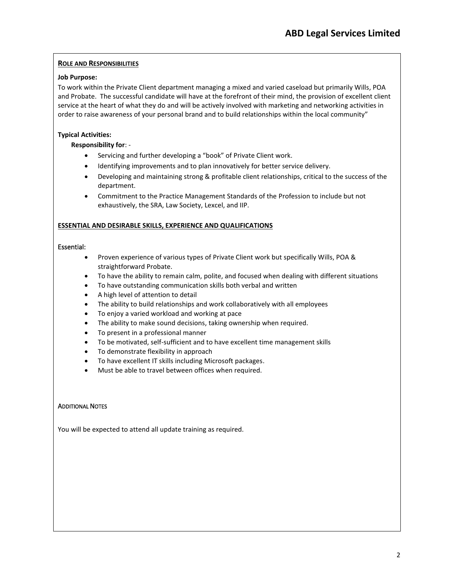#### **ROLE AND RESPONSIBILITIES**

#### **Job Purpose:**

To work within the Private Client department managing a mixed and varied caseload but primarily Wills, POA and Probate. The successful candidate will have at the forefront of their mind, the provision of excellent client service at the heart of what they do and will be actively involved with marketing and networking activities in order to raise awareness of your personal brand and to build relationships within the local community"

#### **Typical Activities:**

#### **Responsibility for**: -

- Servicing and further developing a "book" of Private Client work.
- Identifying improvements and to plan innovatively for better service delivery.
- Developing and maintaining strong & profitable client relationships, critical to the success of the department.
- Commitment to the Practice Management Standards of the Profession to include but not exhaustively, the SRA, Law Society, Lexcel, and IIP.

#### **ESSENTIAL AND DESIRABLE SKILLS, EXPERIENCE AND QUALIFICATIONS**

#### Essential:

- Proven experience of various types of Private Client work but specifically Wills, POA & straightforward Probate.
- To have the ability to remain calm, polite, and focused when dealing with different situations
- To have outstanding communication skills both verbal and written
- A high level of attention to detail
- The ability to build relationships and work collaboratively with all employees
- To enjoy a varied workload and working at pace
- The ability to make sound decisions, taking ownership when required.
- To present in a professional manner
- To be motivated, self-sufficient and to have excellent time management skills
- To demonstrate flexibility in approach
- To have excellent IT skills including Microsoft packages.
- Must be able to travel between offices when required.

#### **ADDITIONAL NOTES**

You will be expected to attend all update training as required.